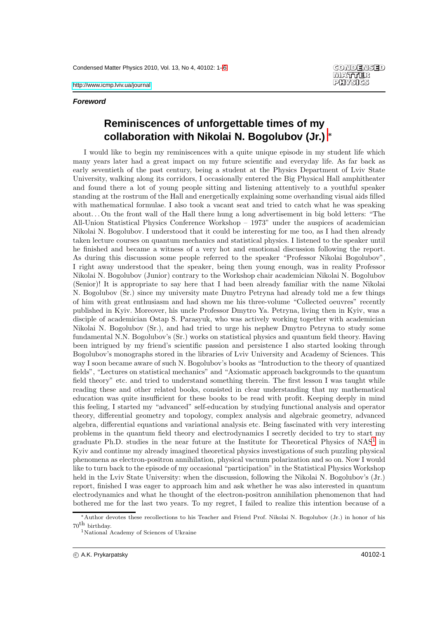#### **CONDENSED MATTER** PHYSIGS

### **Foreword**

# **Reminiscences of unforgettable times of my collaboration with Nikolai N. Bogolubov (Jr.)** <sup>∗</sup>

I would like to begin my reminiscences with a quite unique episode in my student life which many years later had a great impact on my future scientific and everyday life. As far back as early seventieth of the past century, being a student at the Physics Department of Lviv State University, walking along its corridors, I occasionally entered the Big Physical Hall amphitheater and found there a lot of young people sitting and listening attentively to a youthful speaker standing at the rostrum of the Hall and energetically explaining some overhanding visual aids filled with mathematical formulae. I also took a vacant seat and tried to catch what he was speaking about. . . On the front wall of the Hall there hung a long advertisement in big bold letters: "The All-Union Statistical Physics Conference Workshop – 1973" under the auspices of academician Nikolai N. Bogolubov. I understood that it could be interesting for me too, as I had then already taken lecture courses on quantum mechanics and statistical physics. I listened to the speaker until he finished and became a witness of a very hot and emotional discussion following the report. As during this discussion some people referred to the speaker "Professor Nikolai Bogolubov", I right away understood that the speaker, being then young enough, was in reality Professor Nikolai N. Bogolubov (Junior) contrary to the Workshop chair academician Nikolai N. Bogolubov (Senior)! It is appropriate to say here that I had been already familiar with the name Nikolai N. Bogolubov (Sr.) since my university mate Dmytro Petryna had already told me a few things of him with great enthusiasm and had shown me his three-volume "Collected oeuvres" recently published in Kyiv. Moreover, his uncle Professor Dmytro Ya. Petryna, living then in Kyiv, was a disciple of academician Ostap S. Parasyuk, who was actively working together with academician Nikolai N. Bogolubov (Sr.), and had tried to urge his nephew Dmytro Petryna to study some fundamental N.N. Bogolubov's (Sr.) works on statistical physics and quantum field theory. Having been intrigued by my friend's scientific passion and persistence I also started looking through Bogolubov's monographs stored in the libraries of Lviv University and Academy of Sciences. This way I soon became aware of such N. Bogolubov's books as "Introduction to the theory of quantized fields", "Lectures on statistical mechanics" and "Axiomatic approach backgrounds to the quantum field theory" etc. and tried to understand something therein. The first lesson I was taught while reading these and other related books, consisted in clear understanding that my mathematical education was quite insufficient for these books to be read with profit. Keeping deeply in mind this feeling, I started my "advanced" self-education by studying functional analysis and operator theory, differential geometry and topology, complex analysis and algebraic geometry, advanced algebra, differential equations and variational analysis etc. Being fascinated with very interesting problems in the quantum field theory and electrodynamics I secretly decided to try to start my graduate Ph.D. studies in the near future at the Institute for Theoretical Physics of NAS<sup>[1](#page-0-0)</sup> in Kyiv and continue my already imagined theoretical physics investigations of such puzzling physical phenomena as electron-positron annihilation, physical vacuum polarization and so on. Now I would like to turn back to the episode of my occasional "participation" in the Statistical Physics Workshop held in the Lviv State University: when the discussion, following the Nikolai N. Bogolubov's (Jr.) report, finished I was eager to approach him and ask whether he was also interested in quantum electrodynamics and what he thought of the electron-positron annihilation phenomenon that had bothered me for the last two years. To my regret, I failed to realize this intention because of a

<sup>∗</sup>Author devotes these recollections to his Teacher and Friend Prof. Nikolai N. Bogolubov (Jr.) in honor of his 70th birthday.

<span id="page-0-0"></span><sup>1</sup>National Academy of Sciences of Ukraine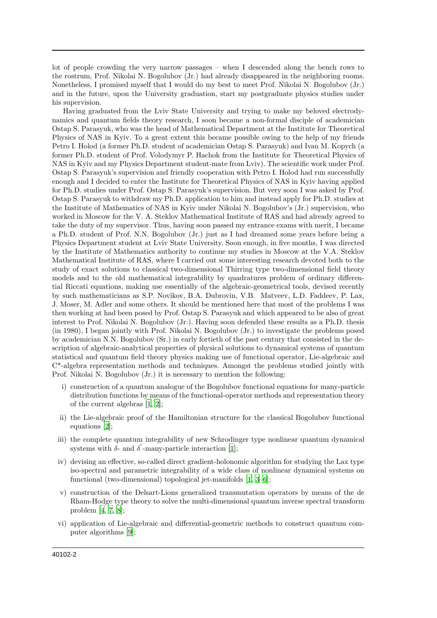lot of people crowding the very narrow passages – when I descended along the bench rows to the rostrum, Prof. Nikolai N. Bogolubov (Jr.) had already disappeared in the neighboring rooms. Nonetheless, I promised myself that I would do my best to meet Prof. Nikolai N. Bogolubov (Jr.) and in the future, upon the University graduation, start my postgraduate physics studies under his supervision.

Having graduated from the Lviv State University and trying to make my beloved electrodynamics and quantum fields theory research, I soon became a non-formal disciple of academician Ostap S. Parasyuk, who was the head of Mathematical Department at the Institute for Theoretical Physics of NAS in Kyiv. To a great extent this became possible owing to the help of my friends Petro I. Holod (a former Ph.D. student of academician Ostap S. Parasyuk) and Ivan M. Kopych (a former Ph.D. student of Prof. Volodymyr P. Hachok from the Institute for Theoretical Physics of NAS in Kyiv and my Physics Department student-mate from Lviv). The scientific work under Prof. Ostap S. Parasyuk's supervision and friendly cooperation with Petro I. Holod had run successfully enough and I decided to enter the Institute for Theoretical Physics of NAS in Kyiv having applied for Ph.D. studies under Prof. Ostap S. Parasyuk's supervision. But very soon I was asked by Prof. Ostap S. Parasyuk to withdraw my Ph.D. application to him and instead apply for Ph.D. studies at the Institute of Mathematics of NAS in Kyiv under Nikolai N. Bogolubov's (Jr.) supervision, who worked in Moscow for the V. A. Steklov Mathematical Institute of RAS and had already agreed to take the duty of my supervisor. Thus, having soon passed my entrance exams with merit, I became a Ph.D. student of Prof. N.N. Bogolubov (Jr.) just as I had dreamed some years before being a Physics Department student at Lviv State University. Soon enough, in five months, I was directed by the Institute of Mathematics authority to continue my studies in Moscow at the V.A. Steklov Mathematical Institute of RAS, where I carried out some interesting research devoted both to the study of exact solutions to classical two-dimensional Thirring type two-dimensional field theory models and to the old mathematical integrability by quadratures problem of ordinary differential Riccati equations, making use essentially of the algebraic-geometrical tools, devised recently by such mathematicians as S.P. Novikov, B.A. Dubrovin, V.B. Matveev, L.D. Faddeev, P. Lax, J. Moser, M. Adler and some others. It should be mentioned here that most of the problems I was then working at had been posed by Prof. Ostap S. Parasyuk and which appeared to be also of great interest to Prof. Nikolai N. Bogolubov (Jr.). Having soon defended these results as a Ph.D. thesis (in 1980), I began jointly with Prof. Nikolai N. Bogolubov (Jr.) to investigate the problems posed by academician N.N. Bogolubov (Sr.) in early fortieth of the past century that consisted in the description of algebraic-analytical properties of physical solutions to dynamical systems of quantum statistical and quantum field theory physics making use of functional operator, Lie-algebraic and C\*-algebra representation methods and techniques. Amongst the problems studied jointly with Prof. Nikolai N. Bogolubov (Jr.) it is necessary to mention the following:

- i) construction of a quantum analogue of the Bogolubov functional equations for many-particle distribution functions by means of the functional-operator methods and representation theory of the current algebras [\[1,](#page-3-1) [2\]](#page-3-2);
- ii) the Lie-algebraic proof of the Hamiltonian structure for the classical Bogolubov functional equations [\[2](#page-3-2)];
- iii) the complete quantum integrability of new Schrodinger type nonlinear quantum dynamical systems with  $\delta$ - and  $\delta$ '-many-particle interaction [\[1\]](#page-3-1);
- iv) devising an effective, so-called direct gradient-holonomic algorithm for studying the Lax type iso-spectral and parametric integrability of a wide class of nonlinear dynamical systems on functional (two-dimensional) topological jet-manifolds [\[1](#page-3-1), [3](#page-3-3)[–6](#page-3-4)];
- v) construction of the Delsart-Lions generalized transmutation operators by means of the de Rham-Hodge type theory to solve the multi-dimensional quantum inverse spectral transform problem [\[4](#page-3-5), [7](#page-3-6), [8\]](#page-3-7);
- vi) application of Lie-algebraic and differential-geometric methods to construct quantum computer algorithms [\[9\]](#page-3-8);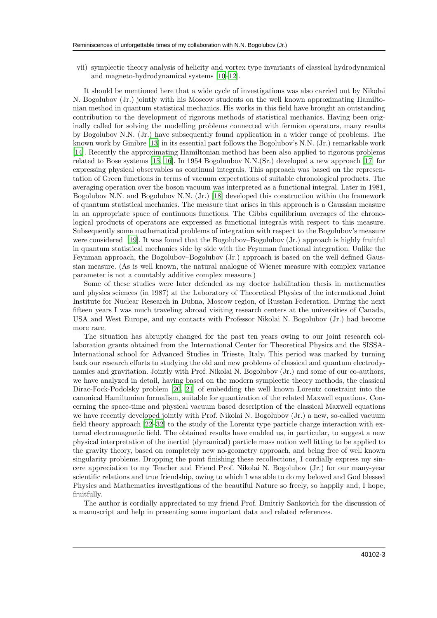vii) symplectic theory analysis of helicity and vortex type invariants of classical hydrodynamical and magneto-hydrodynamical systems [\[10](#page-3-9)[–12\]](#page-3-10).

It should be mentioned here that a wide cycle of investigations was also carried out by Nikolai N. Bogolubov (Jr.) jointly with his Moscow students on the well known approximating Hamiltonian method in quantum statistical mechanics. His works in this field have brought an outstanding contribution to the development of rigorous methods of statistical mechanics. Having been originally called for solving the modelling problems connected with fermion operators, many results by Bogolubov N.N. (Jr.) have subsequently found application in a wider range of problems. The known work by Ginibre [\[13\]](#page-3-11) in its essential part follows the Bogolubov's N.N. (Jr.) remarkable work [\[14\]](#page-3-12). Recently the approximating Hamiltonian method has been also applied to rigorous problems related to Bose systems [\[15,](#page-3-13) [16\]](#page-3-14). In 1954 Bogoluubov N.N.(Sr.) developed a new approach [\[17\]](#page-3-15) for expressing physical observables as continual integrals. This approach was based on the representation of Green functions in terms of vacuum expectations of suitable chronological products. The averaging operation over the boson vacuum was interpreted as a functional integral. Later in 1981, Bogolubov N.N. and Bogolubov N.N. (Jr.) [\[18](#page-3-16)] developed this construction within the framework of quantum statistical mechanics. The measure that arises in this approach is a Gaussian measure in an appropriate space of continuous functions. The Gibbs equilibrium averages of the chronological products of operators are expressed as functional integrals with respect to this measure. Subsequently some mathematical problems of integration with respect to the Bogolubov's measure were considered [\[19\]](#page-3-17). It was found that the Bogolubov–Bogolubov (Jr.) approach is highly fruitful in quantum statistical mechanics side by side with the Feynman functional integration. Unlike the Feynman approach, the Bogolubov–Bogolubov (Jr.) approach is based on the well defined Gaussian measure. (As is well known, the natural analogue of Wiener measure with complex variance parameter is not a countably additive complex measure.)

Some of these studies were later defended as my doctor habilitation thesis in mathematics and physics sciences (in 1987) at the Laboratory of Theoretical Physics of the international Joint Institute for Nuclear Research in Dubna, Moscow region, of Russian Federation. During the next fifteen years I was much traveling abroad visiting research centers at the universities of Canada, USA and West Europe, and my contacts with Professor Nikolai N. Bogolubov (Jr.) had become more rare.

The situation has abruptly changed for the past ten years owing to our joint research collaboration grants obtained from the International Center for Theoretical Physics and the SISSA-International school for Advanced Studies in Trieste, Italy. This period was marked by turning back our research efforts to studying the old and new problems of classical and quantum electrodynamics and gravitation. Jointly with Prof. Nikolai N. Bogolubov (Jr.) and some of our co-authors, we have analyzed in detail, having based on the modern symplectic theory methods, the classical Dirac-Fock-Podolsky problem [\[20,](#page-3-18) [21\]](#page-3-19) of embedding the well known Lorentz constraint into the canonical Hamiltonian formalism, suitable for quantization of the related Maxwell equations. Concerning the space-time and physical vacuum based description of the classical Maxwell equations we have recently developed jointly with Prof. Nikolai N. Bogolubov (Jr.) a new, so-called vacuum field theory approach [\[22](#page-3-20)[–32\]](#page-4-0) to the study of the Lorentz type particle charge interaction with external electromagnetic field. The obtained results have enabled us, in particular, to suggest a new physical interpretation of the inertial (dynamical) particle mass notion well fitting to be applied to the gravity theory, based on completely new no-geometry approach, and being free of well known singularity problems. Dropping the point finishing these recollections, I cordially express my sincere appreciation to my Teacher and Friend Prof. Nikolai N. Bogolubov (Jr.) for our many-year scientific relations and true friendship, owing to which I was able to do my beloved and God blessed Physics and Mathematics investigations of the beautiful Nature so freely, so happily and, I hope, fruitfully.

The author is cordially appreciated to my friend Prof. Dmitriy Sankovich for the discussion of a manuscript and help in presenting some important data and related references.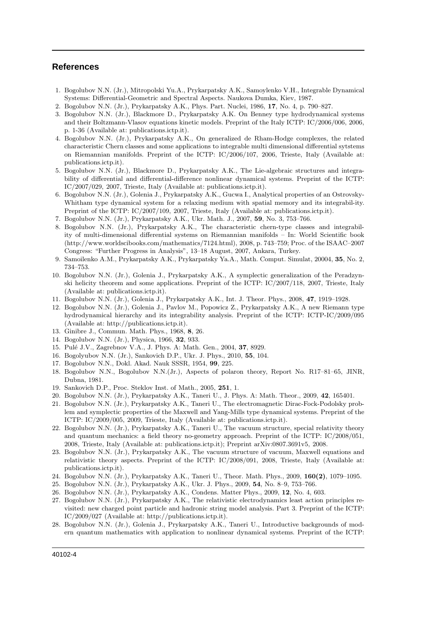## <span id="page-3-0"></span>**References**

- <span id="page-3-1"></span>1. Bogolubov N.N. (Jr.), Mitropolski Yu.A., Prykarpatsky A.K., Samoylenko V.H., Integrable Dynamical Systems: Differential-Geometric and Spectral Aspects. Naukova Dumka, Kiev, 1987.
- <span id="page-3-2"></span>2. Bogolubov N.N. (Jr.), Prykarpatsky A.K., Phys. Part. Nuclei, 1986, 17, No. 4, p. 790–827.
- <span id="page-3-3"></span>3. Bogolubov N.N. (Jr.), Blackmore D., Prykarpatsky A.K. On Benney type hydrodynamical systems and their Boltzmann-Vlasov equations kinetic models. Preprint of the Italy ICTP: IC/2006/006, 2006, p. 1-36 (Available at: publications.ictp.it).
- <span id="page-3-5"></span>4. Bogolubov N.N. (Jr.), Prykarpatsky A.K., On generalized de Rham-Hodge complexes, the related characteristic Chern classes and some applications to integrable multi dimensional differential sytstems on Riemannian manifolds. Preprint of the ICTP: IC/2006/107, 2006, Trieste, Italy (Available at: publications.ictp.it).
- 5. Bogolubov N.N. (Jr.), Blackmore D., Prykarpatsky A.K., The Lie-algebraic structures and integrability of differential and differential-difference nonlinear dynamical systems. Preprint of the ICTP: IC/2007/029, 2007, Trieste, Italy (Available at: publications.ictp.it).
- <span id="page-3-4"></span>6. Bogolubov N.N. (Jr.), Golenia J., Prykarpatsky A.K., Gucwa I., Analytical properties of an Ostrovsky-Whitham type dynamical system for a relaxing medium with spatial memory and its integrabil-ity. Preprint of the ICTP: IC/2007/109, 2007, Trieste, Italy (Available at: publications.ictp.it).
- <span id="page-3-6"></span>7. Bogolubov N.N. (Jr.), Prykarpatsky A.K., Ukr. Math. J., 2007, 59, No. 3, 753–766.
- <span id="page-3-7"></span>8. Bogolubov N.N. (Jr.), Prykarpatsky A.K., The characteristic chern-type classes and integrability of multi-dimensional differential systems on Riemannian manifolds – In: World Scientific book (http://www.worldscibooks.com/mathematics/7124.html), 2008, p. 743–759; Proc. of the ISAAC–2007 Congress: "Further Progress in Analysis", 13–18 August, 2007, Ankara, Turkey.
- <span id="page-3-8"></span>9. Samoilenko A.M., Prykarpatsky A.K., Prykarpatsky Ya.A., Math. Comput. Simulat, 20004, 35, No. 2, 734–753.
- <span id="page-3-9"></span>10. Bogolubov N.N. (Jr.), Golenia J., Prykarpatsky A.K., A symplectic generalization of the Peradzynski helicity theorem and some applications. Preprint of the ICTP: IC/2007/118, 2007, Trieste, Italy (Available at: publications.ictp.it).
- 11. Bogolubov N.N. (Jr.), Golenia J., Prykarpatsky A.K., Int. J. Theor. Phys., 2008, 47, 1919–1928.
- <span id="page-3-10"></span>12. Bogolubov N.N. (Jr.), Golenia J., Pavlov M., Popowicz Z., Prykarpatsky A.K., A new Riemann type hydrodynamical hierarchy and its integrability analysis. Preprint of the ICTP: ICTP-IC/2009/095 (Available at: http://publications.ictp.it).
- <span id="page-3-11"></span>13. Ginibre J., Commun. Math. Phys., 1968, 8, 26.
- <span id="page-3-12"></span>14. Bogolubov N.N. (Jr.), Physica, 1966, 32, 933.
- <span id="page-3-13"></span>15. Pulé J.V., Zagrebnov V.A., J. Phys. A: Math. Gen., 2004, 37, 8929.
- <span id="page-3-14"></span>16. Bogolyubov N.N. (Jr.), Sankovich D.P., Ukr. J. Phys., 2010, 55, 104.
- <span id="page-3-15"></span>17. Bogolubov N.N., Dokl. Akad. Nauk SSSR, 1954, 99, 225.
- <span id="page-3-16"></span>18. Bogolubov N.N., Bogolubov N.N.(Jr.), Aspects of polaron theory, Report No. R17–81–65, JINR, Dubna, 1981.
- <span id="page-3-17"></span>19. Sankovich D.P., Proc. Steklov Inst. of Math., 2005, 251, 1.
- <span id="page-3-18"></span>20. Bogolubov N.N. (Jr.), Prykarpatsky A.K., Taneri U., J. Phys. A: Math. Theor., 2009, 42, 165401.
- <span id="page-3-19"></span>21. Bogolubov N.N. (Jr.), Prykarpatsky A.K., Taneri U., The electromagnetic Dirac-Fock-Podolsky problem and symplectic properties of the Maxwell and Yang-Mills type dynamical systems. Preprint of the ICTP: IC/2009/005, 2009, Trieste, Italy (Available at: publications.ictp.it).
- <span id="page-3-20"></span>22. Bogolubov N.N. (Jr.), Prykarpatsky A.K., Taneri U., The vacuum structure, special relativity theory and quantum mechanics: a field theory no-geometry approach. Preprint of the ICTP: IC/2008/051, 2008, Trieste, Italy (Available at: publications.ictp.it); Preprint arXiv:0807.3691v5, 2008.
- 23. Bogolubov N.N. (Jr.), Prykarpatsky A.K., The vacuum structure of vacuum, Maxwell equations and relativistic theory aspects. Preprint of the ICTP: IC/2008/091, 2008, Trieste, Italy (Available at: publications.ictp.it).
- 24. Bogolubov N.N. (Jr.), Prykarpatsky A.K., Taneri U., Theor. Math. Phys., 2009, 160(2), 1079–1095.
- 25. Bogolubov N.N. (Jr.), Prykarpatsky A.K., Ukr. J. Phys., 2009, 54, No. 8–9, 753–766.
- 26. Bogolubov N.N. (Jr.), Prykarpatsky A.K., Condens. Matter Phys., 2009, 12, No. 4, 603.
- 27. Bogolubov N.N. (Jr.), Prykarpatsky A.K., The relativistic electrodynamics least action principles revisited: new charged point particle and hadronic string model analysis. Part 3. Preprint of the ICTP: IC/2009/027 (Available at: http://publications.ictp.it).
- 28. Bogolubov N.N. (Jr.), Golenia J., Prykarpatsky A.K., Taneri U., Introductive backgrounds of modern quantum mathematics with application to nonlinear dynamical systems. Preprint of the ICTP: